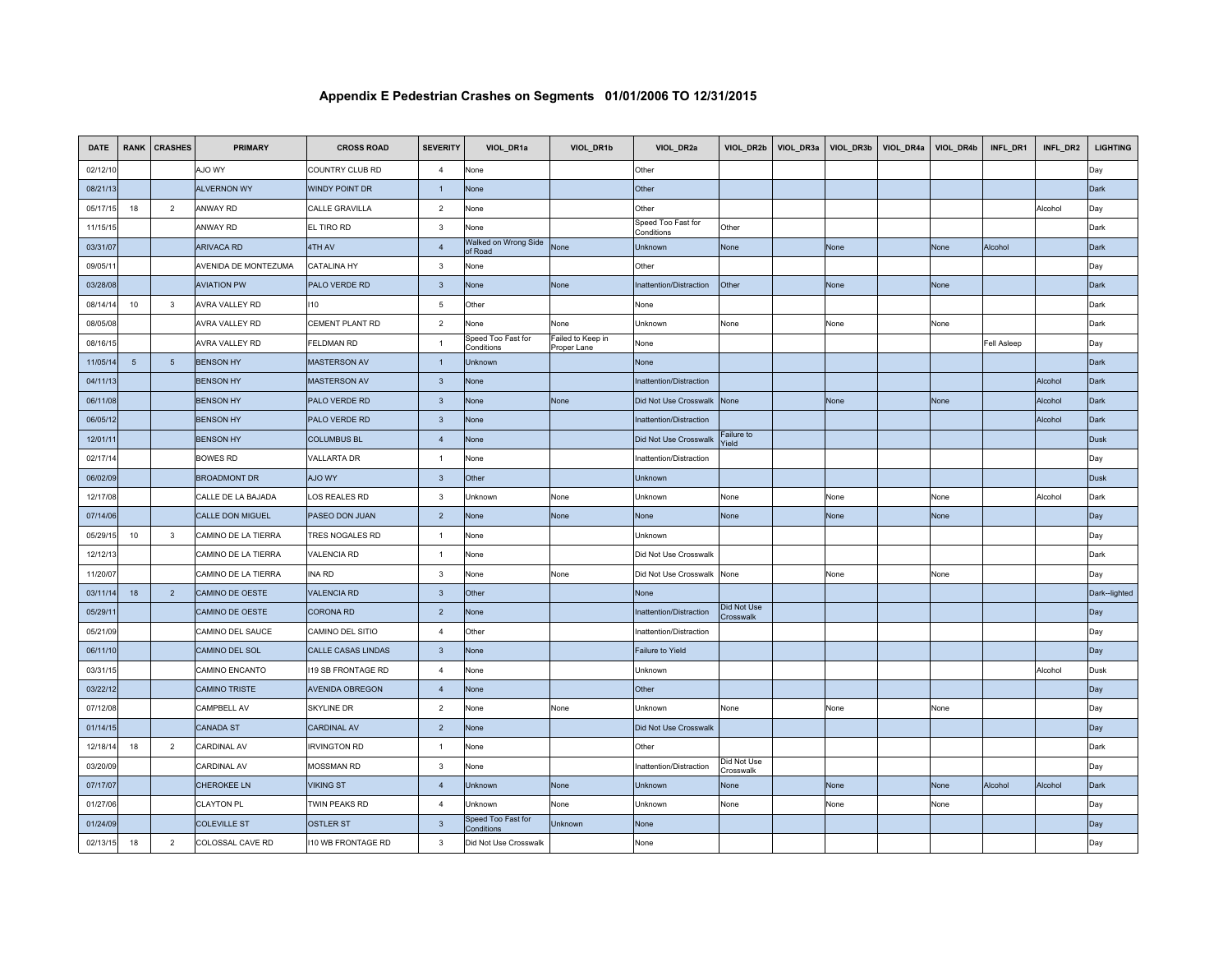| <b>DATE</b> | <b>RANK</b>     | <b>CRASHES</b>  | <b>PRIMARY</b>       | <b>CROSS ROAD</b>         | <b>SEVERITY</b>         | VIOL_DR1a                        | VIOL_DR1b                        | VIOL_DR2a                        | VIOL_DR2b                       | VIOL_DR3a | VIOL_DR3b | VIOL_DR4a | VIOL_DR4b | INFL_DR1           | INFL_DR2 | <b>LIGHTING</b> |
|-------------|-----------------|-----------------|----------------------|---------------------------|-------------------------|----------------------------------|----------------------------------|----------------------------------|---------------------------------|-----------|-----------|-----------|-----------|--------------------|----------|-----------------|
| 02/12/10    |                 |                 | AJO WY               | COUNTRY CLUB RD           | $\overline{4}$          | None                             |                                  | Other                            |                                 |           |           |           |           |                    |          | Day             |
| 08/21/13    |                 |                 | <b>ALVERNON WY</b>   | <b>WINDY POINT DR</b>     | $\mathbf{1}$            | None                             |                                  | Other                            |                                 |           |           |           |           |                    |          | Dark            |
| 05/17/15    | 18              | $\overline{2}$  | ANWAY RD             | <b>CALLE GRAVILLA</b>     | $\overline{2}$          | None                             |                                  | Other                            |                                 |           |           |           |           |                    | Alcohol  | Day             |
| 11/15/15    |                 |                 | ANWAY RD             | <b>EL TIRO RD</b>         | 3                       | None                             |                                  | Speed Too Fast for<br>Conditions | Other                           |           |           |           |           |                    |          | Dark            |
| 03/31/07    |                 |                 | <b>ARIVACA RD</b>    | 4TH AV                    | $\overline{4}$          | Walked on Wrong Side<br>of Road  | None                             | Unknown                          | None                            |           | None      |           | None      | Alcohol            |          | Dark            |
| 09/05/11    |                 |                 | AVENIDA DE MONTEZUMA | <b>CATALINA HY</b>        | $\mathbf{3}$            | None                             |                                  | Other                            |                                 |           |           |           |           |                    |          | Day             |
| 03/28/08    |                 |                 | <b>AVIATION PW</b>   | PALO VERDE RD             | $\overline{3}$          | None                             | None                             | Inattention/Distraction          | Other                           |           | None      |           | None      |                    |          | <b>Dark</b>     |
| 08/14/14    | 10              | $\mathbf{3}$    | AVRA VALLEY RD       | 110                       | 5                       | Other                            |                                  | None                             |                                 |           |           |           |           |                    |          | Dark            |
| 08/05/08    |                 |                 | AVRA VALLEY RD       | CEMENT PLANT RD           | $\overline{2}$          | None                             | None                             | Unknown                          | None                            |           | None      |           | None      |                    |          | Dark            |
| 08/16/15    |                 |                 | AVRA VALLEY RD       | <b>FELDMAN RD</b>         | $\overline{1}$          | Speed Too Fast for<br>Conditions | Failed to Keep in<br>Proper Lane | None                             |                                 |           |           |           |           | <b>Fell Asleep</b> |          | Day             |
| 11/05/14    | $5\phantom{.0}$ | $5\overline{5}$ | <b>BENSON HY</b>     | <b>MASTERSON AV</b>       | $\overline{1}$          | Unknown                          |                                  | None                             |                                 |           |           |           |           |                    |          | Dark            |
| 04/11/13    |                 |                 | <b>BENSON HY</b>     | <b>MASTERSON AV</b>       | $\mathbf{3}$            | None                             |                                  | Inattention/Distraction          |                                 |           |           |           |           |                    | Alcohol  | Dark            |
| 06/11/08    |                 |                 | <b>BENSON HY</b>     | PALO VERDE RD             | $\mathbf{3}$            | None                             | None                             | Did Not Use Crosswalk            | None                            |           | None      |           | None      |                    | Alcohol  | Dark            |
| 06/05/12    |                 |                 | <b>BENSON HY</b>     | PALO VERDE RD             | $\mathbf{3}$            | None                             |                                  | Inattention/Distraction          |                                 |           |           |           |           |                    | Alcohol  | Dark            |
| 12/01/11    |                 |                 | <b>BENSON HY</b>     | <b>COLUMBUS BL</b>        | $\overline{4}$          | None                             |                                  | Did Not Use Crosswalk            | Failure to<br>Yield             |           |           |           |           |                    |          | <b>Dusk</b>     |
| 02/17/14    |                 |                 | <b>BOWES RD</b>      | <b>VALLARTA DR</b>        | $\overline{1}$          | None                             |                                  | Inattention/Distraction          |                                 |           |           |           |           |                    |          | Day             |
| 06/02/09    |                 |                 | <b>BROADMONT DR</b>  | AJO WY                    | $\mathbf{3}$            | Other                            |                                  | Unknown                          |                                 |           |           |           |           |                    |          | <b>Dusk</b>     |
| 12/17/08    |                 |                 | CALLE DE LA BAJADA   | LOS REALES RD             | $_{\rm 3}$              | Unknown                          | None                             | Unknown                          | None                            |           | None      |           | None      |                    | Alcohol  | Dark            |
| 07/14/06    |                 |                 | CALLE DON MIGUEL     | PASEO DON JUAN            | $\overline{\mathbf{2}}$ | None                             | None                             | None                             | None                            |           | None      |           | None      |                    |          | Day             |
| 05/29/15    | 10              | $\mathbf{3}$    | CAMINO DE LA TIERRA  | TRES NOGALES RD           | $\mathbf{1}$            | None                             |                                  | Unknown                          |                                 |           |           |           |           |                    |          | Day             |
| 12/12/13    |                 |                 | CAMINO DE LA TIERRA  | <b>VALENCIA RD</b>        | $\overline{1}$          | None                             |                                  | Did Not Use Crosswalk            |                                 |           |           |           |           |                    |          | Dark            |
| 11/20/07    |                 |                 | CAMINO DE LA TIERRA  | <b>INA RD</b>             | $\mathbf{3}$            | None                             | None                             | Did Not Use Crosswalk            | None                            |           | None      |           | None      |                    |          | Day             |
| 03/11/14    | 18              | $\overline{2}$  | CAMINO DE OESTE      | <b>VALENCIA RD</b>        | $\mathbf{3}$            | Other                            |                                  | None                             |                                 |           |           |           |           |                    |          | Dark--lighted   |
| 05/29/11    |                 |                 | CAMINO DE OESTE      | <b>CORONA RD</b>          | $\overline{2}$          | None                             |                                  | Inattention/Distraction          | <b>Did Not Use</b><br>Crosswalk |           |           |           |           |                    |          | Day             |
| 05/21/09    |                 |                 | CAMINO DEL SAUCE     | CAMINO DEL SITIO          | $\overline{4}$          | Other                            |                                  | Inattention/Distraction          |                                 |           |           |           |           |                    |          | Day             |
| 06/11/10    |                 |                 | CAMINO DEL SOL       | CALLE CASAS LINDAS        | $\mathbf{3}$            | None                             |                                  | Failure to Yield                 |                                 |           |           |           |           |                    |          | Day             |
| 03/31/15    |                 |                 | CAMINO ENCANTO       | <b>119 SB FRONTAGE RD</b> | $\overline{4}$          | None                             |                                  | Unknown                          |                                 |           |           |           |           |                    | Alcohol  | Dusk            |
| 03/22/12    |                 |                 | <b>CAMINO TRISTE</b> | <b>AVENIDA OBREGON</b>    | $\overline{4}$          | None                             |                                  | Other                            |                                 |           |           |           |           |                    |          | Day             |
| 07/12/08    |                 |                 | CAMPBELL AV          | <b>SKYLINE DR</b>         | $\overline{2}$          | None                             | None                             | Unknown                          | None                            |           | None      |           | None      |                    |          | Day             |
| 01/14/15    |                 |                 | <b>CANADA ST</b>     | <b>CARDINAL AV</b>        | $\overline{2}$          | None                             |                                  | Did Not Use Crosswalk            |                                 |           |           |           |           |                    |          | Day             |
| 12/18/14    | 18              | $\overline{2}$  | CARDINAL AV          | <b>IRVINGTON RD</b>       | $\overline{1}$          | None                             |                                  | Other                            |                                 |           |           |           |           |                    |          | Dark            |
| 03/20/09    |                 |                 | CARDINAL AV          | MOSSMAN RD                | $\mathbf{3}$            | None                             |                                  | Inattention/Distraction          | Did Not Use<br>Crosswalk        |           |           |           |           |                    |          | Day             |
| 07/17/07    |                 |                 | <b>CHEROKEE LN</b>   | <b>VIKING ST</b>          | $\overline{4}$          | Unknown                          | None                             | Unknown                          | None                            |           | None      |           | None      | Alcohol            | Alcohol  | Dark            |
| 01/27/06    |                 |                 | <b>CLAYTON PL</b>    | TWIN PEAKS RD             | $\overline{4}$          | Jnknown                          | None                             | Jnknown                          | None                            |           | None      |           | None      |                    |          | Day             |
| 01/24/09    |                 |                 | <b>COLEVILLE ST</b>  | <b>OSTLER ST</b>          | $\mathbf{3}$            | Speed Too Fast for<br>Conditions | Unknown                          | None                             |                                 |           |           |           |           |                    |          | Day             |
| 02/13/15    | 18              | $\overline{2}$  | COLOSSAL CAVE RD     | <b>110 WB FRONTAGE RD</b> | 3                       | Did Not Use Crosswalk            |                                  | None                             |                                 |           |           |           |           |                    |          | Day             |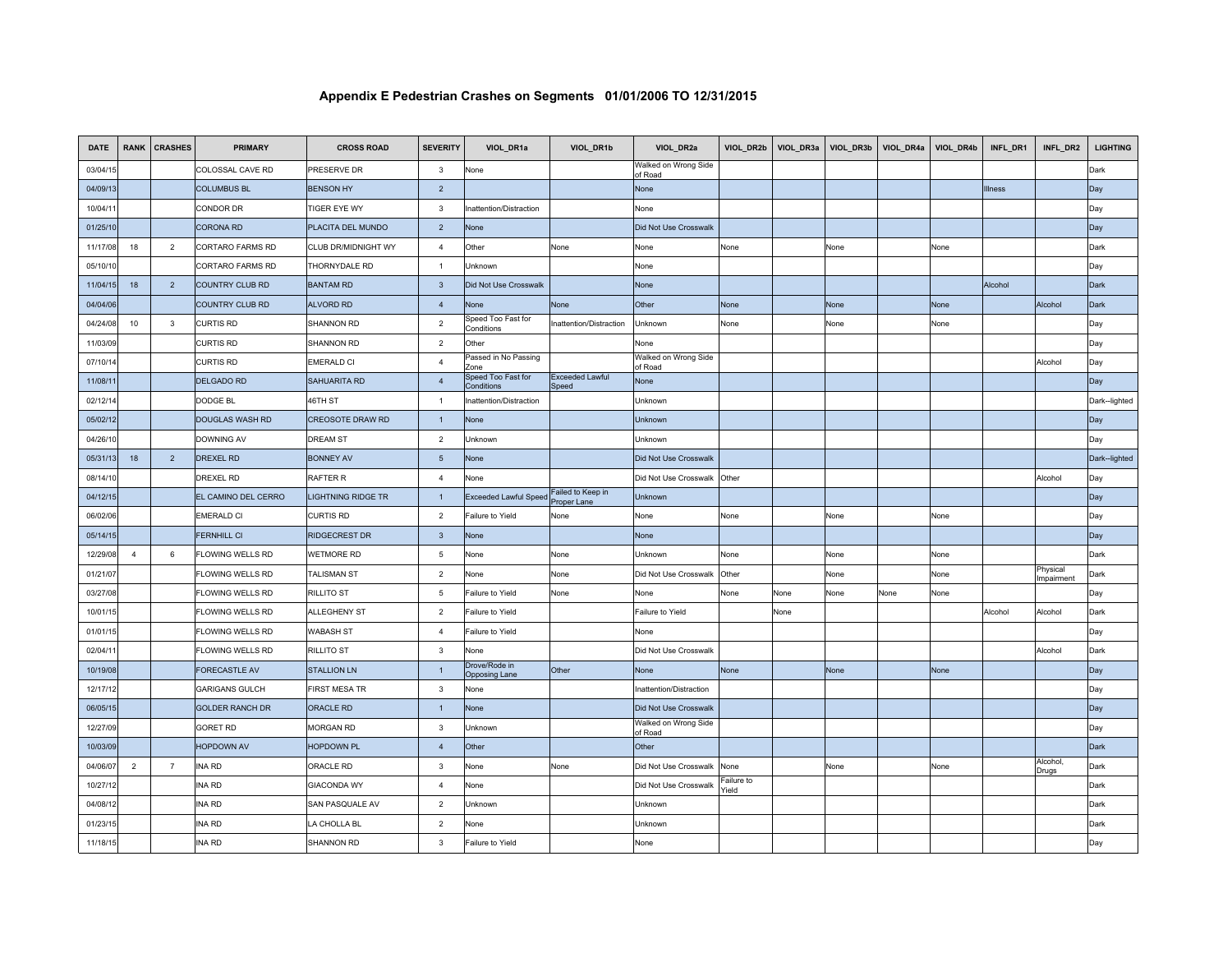| <b>DATE</b> | <b>RANK</b>    | <b>CRASHES</b> | <b>PRIMARY</b>         | <b>CROSS ROAD</b>         | <b>SEVERITY</b> | VIOL_DR1a                             | VIOL_DR1b                        | VIOL_DR2a                       | VIOL_DR2b           | VIOL_DR3a | VIOL_DR3b | VIOL_DR4a | VIOL_DR4b | INFL_DR1 | INFL_DR2               | <b>LIGHTING</b> |
|-------------|----------------|----------------|------------------------|---------------------------|-----------------|---------------------------------------|----------------------------------|---------------------------------|---------------------|-----------|-----------|-----------|-----------|----------|------------------------|-----------------|
| 03/04/15    |                |                | COLOSSAL CAVE RD       | PRESERVE DR               | 3               | None                                  |                                  | Walked on Wrong Side<br>of Road |                     |           |           |           |           |          |                        | Dark            |
| 04/09/13    |                |                | <b>COLUMBUS BL</b>     | <b>BENSON HY</b>          | $\overline{2}$  |                                       |                                  | None                            |                     |           |           |           |           | Illness  |                        | Day             |
| 10/04/11    |                |                | CONDOR DR              | <b>TIGER EYE WY</b>       | 3               | nattention/Distraction                |                                  | None                            |                     |           |           |           |           |          |                        | Day             |
| 01/25/10    |                |                | <b>CORONA RD</b>       | PLACITA DEL MUNDO         | $\overline{2}$  | None                                  |                                  | Did Not Use Crosswalk           |                     |           |           |           |           |          |                        | Day             |
| 11/17/08    | 18             | $\overline{2}$ | CORTARO FARMS RD       | CLUB DR/MIDNIGHT WY       | $\overline{4}$  | Other                                 | None                             | None                            | None                |           | None      |           | None      |          |                        | Dark            |
| 05/10/10    |                |                | CORTARO FARMS RD       | THORNYDALE RD             | $\overline{1}$  | Unknown                               |                                  | None                            |                     |           |           |           |           |          |                        | Day             |
| 11/04/15    | 18             | $\overline{2}$ | COUNTRY CLUB RD        | <b>BANTAM RD</b>          | $\mathbf{3}$    | Did Not Use Crosswalk                 |                                  | None                            |                     |           |           |           |           | Alcohol  |                        | Dark            |
| 04/04/06    |                |                | COUNTRY CLUB RD        | <b>ALVORD RD</b>          | $\overline{4}$  | None                                  | None                             | Other                           | <b>None</b>         |           | None      |           | None      |          | Alcohol                | <b>Dark</b>     |
| 04/24/08    | 10             | $\mathbf{3}$   | <b>CURTIS RD</b>       | <b>SHANNON RD</b>         | 2               | Speed Too Fast for<br>Conditions      | Inattention/Distraction          | Unknown                         | None                |           | None      |           | None      |          |                        | Day             |
| 11/03/09    |                |                | <b>CURTIS RD</b>       | <b>SHANNON RD</b>         | $\overline{2}$  | Other                                 |                                  | None                            |                     |           |           |           |           |          |                        | Day             |
| 07/10/14    |                |                | <b>CURTIS RD</b>       | <b>EMERALD CI</b>         | $\overline{4}$  | Passed in No Passing<br>Zone          |                                  | Walked on Wrong Side<br>of Road |                     |           |           |           |           |          | Alcohol                | Day             |
| 11/08/11    |                |                | <b>DELGADO RD</b>      | <b>SAHUARITA RD</b>       | $\overline{4}$  | Speed Too Fast for<br>Conditions      | Exceeded Lawful<br>Speed         | None                            |                     |           |           |           |           |          |                        | Day             |
| 02/12/14    |                |                | DODGE BL               | 46TH ST                   | $\mathbf{1}$    | nattention/Distraction                |                                  | Unknown                         |                     |           |           |           |           |          |                        | Dark--lighted   |
| 05/02/12    |                |                | DOUGLAS WASH RD        | <b>CREOSOTE DRAW RD</b>   | $\overline{1}$  | None                                  |                                  | Unknown                         |                     |           |           |           |           |          |                        | Day             |
| 04/26/10    |                |                | DOWNING AV             | <b>DREAM ST</b>           | $\overline{2}$  | Unknown                               |                                  | Unknown                         |                     |           |           |           |           |          |                        | Day             |
| 05/31/13    | 18             | $\overline{2}$ | <b>DREXEL RD</b>       | <b>BONNEY AV</b>          | $\overline{5}$  | None                                  |                                  | Did Not Use Crosswalk           |                     |           |           |           |           |          |                        | Dark--lighted   |
| 08/14/10    |                |                | DREXEL RD              | <b>RAFTER R</b>           | $\overline{4}$  | None                                  |                                  | Did Not Use Crosswalk           | Other               |           |           |           |           |          | Alcohol                | Day             |
| 04/12/15    |                |                | EL CAMINO DEL CERRO    | <b>LIGHTNING RIDGE TR</b> | $\overline{1}$  | <b>Exceeded Lawful Speed</b>          | Failed to Keep in<br>Proper Lane | Unknown                         |                     |           |           |           |           |          |                        | Day             |
| 06/02/06    |                |                | <b>EMERALD CI</b>      | <b>CURTIS RD</b>          | $\overline{2}$  | Failure to Yield                      | None                             | None                            | None                |           | None      |           | None      |          |                        | Day             |
| 05/14/15    |                |                | <b>FERNHILL CI</b>     | <b>RIDGECREST DR</b>      | $\mathbf{3}$    | None                                  |                                  | None                            |                     |           |           |           |           |          |                        | Day             |
| 12/29/08    | $\overline{4}$ | 6              | FLOWING WELLS RD       | <b>WETMORE RD</b>         | $\overline{5}$  | None                                  | None                             | Unknown                         | None                |           | None      |           | None      |          |                        | Dark            |
| 01/21/07    |                |                | FLOWING WELLS RD       | <b>TALISMAN ST</b>        | $\overline{2}$  | None                                  | None                             | Did Not Use Crosswalk           | Other               |           | None      |           | None      |          | Physical<br>Impairment | Dark            |
| 03/27/08    |                |                | FLOWING WELLS RD       | <b>RILLITO ST</b>         | $\overline{5}$  | Failure to Yield                      | None                             | None                            | None                | None      | None      | None      | None      |          |                        | Day             |
| 10/01/15    |                |                | FLOWING WELLS RD       | <b>ALLEGHENY ST</b>       | $\overline{2}$  | Failure to Yield                      |                                  | Failure to Yield                |                     | None      |           |           |           | Alcohol  | Alcohol                | Dark            |
| 01/01/15    |                |                | FLOWING WELLS RD       | <b>WABASH ST</b>          | $\overline{4}$  | Failure to Yield                      |                                  | None                            |                     |           |           |           |           |          |                        | Day             |
| 02/04/11    |                |                | FLOWING WELLS RD       | <b>RILLITO ST</b>         | $\mathbf{3}$    | None                                  |                                  | Did Not Use Crosswalk           |                     |           |           |           |           |          | Alcohol                | Dark            |
| 10/19/08    |                |                | <b>FORECASTLE AV</b>   | <b>STALLION LN</b>        | $\overline{1}$  | Drove/Rode in<br><b>Opposing Lane</b> | Other                            | None                            | None                |           | None      |           | None      |          |                        | Day             |
| 12/17/12    |                |                | <b>GARIGANS GULCH</b>  | FIRST MESA TR             | $\mathbf{3}$    | None                                  |                                  | Inattention/Distraction         |                     |           |           |           |           |          |                        | Day             |
| 06/05/15    |                |                | <b>GOLDER RANCH DR</b> | ORACLE RD                 | $\mathbf{1}$    | None                                  |                                  | Did Not Use Crosswalk           |                     |           |           |           |           |          |                        | Day             |
| 12/27/09    |                |                | <b>GORET RD</b>        | MORGAN RD                 | $\mathbf{3}$    | Unknown                               |                                  | Walked on Wrong Side<br>of Road |                     |           |           |           |           |          |                        | Day             |
| 10/03/09    |                |                | <b>HOPDOWN AV</b>      | <b>HOPDOWN PL</b>         | $\overline{4}$  | Other                                 |                                  | Other                           |                     |           |           |           |           |          |                        | Dark            |
| 04/06/07    | $\overline{2}$ | $\overline{7}$ | <b>INA RD</b>          | ORACLE RD                 | $\mathbf{3}$    | None                                  | None                             | Did Not Use Crosswalk           | None                |           | None      |           | None      |          | Alcohol,<br>Drugs      | Dark            |
| 10/27/12    |                |                | INA RD                 | <b>GIACONDA WY</b>        | $\overline{4}$  | None                                  |                                  | Did Not Use Crosswalk           | Failure to<br>Yield |           |           |           |           |          |                        | Dark            |
| 04/08/12    |                |                | INA RD                 | SAN PASQUALE AV           | $\overline{2}$  | Unknown                               |                                  | Unknown                         |                     |           |           |           |           |          |                        | Dark            |
| 01/23/15    |                |                | <b>INA RD</b>          | LA CHOLLA BL              | $\overline{2}$  | None                                  |                                  | Unknown                         |                     |           |           |           |           |          |                        | Dark            |
| 11/18/15    |                |                | <b>INA RD</b>          | <b>SHANNON RD</b>         | 3               | Failure to Yield                      |                                  | None                            |                     |           |           |           |           |          |                        | Day             |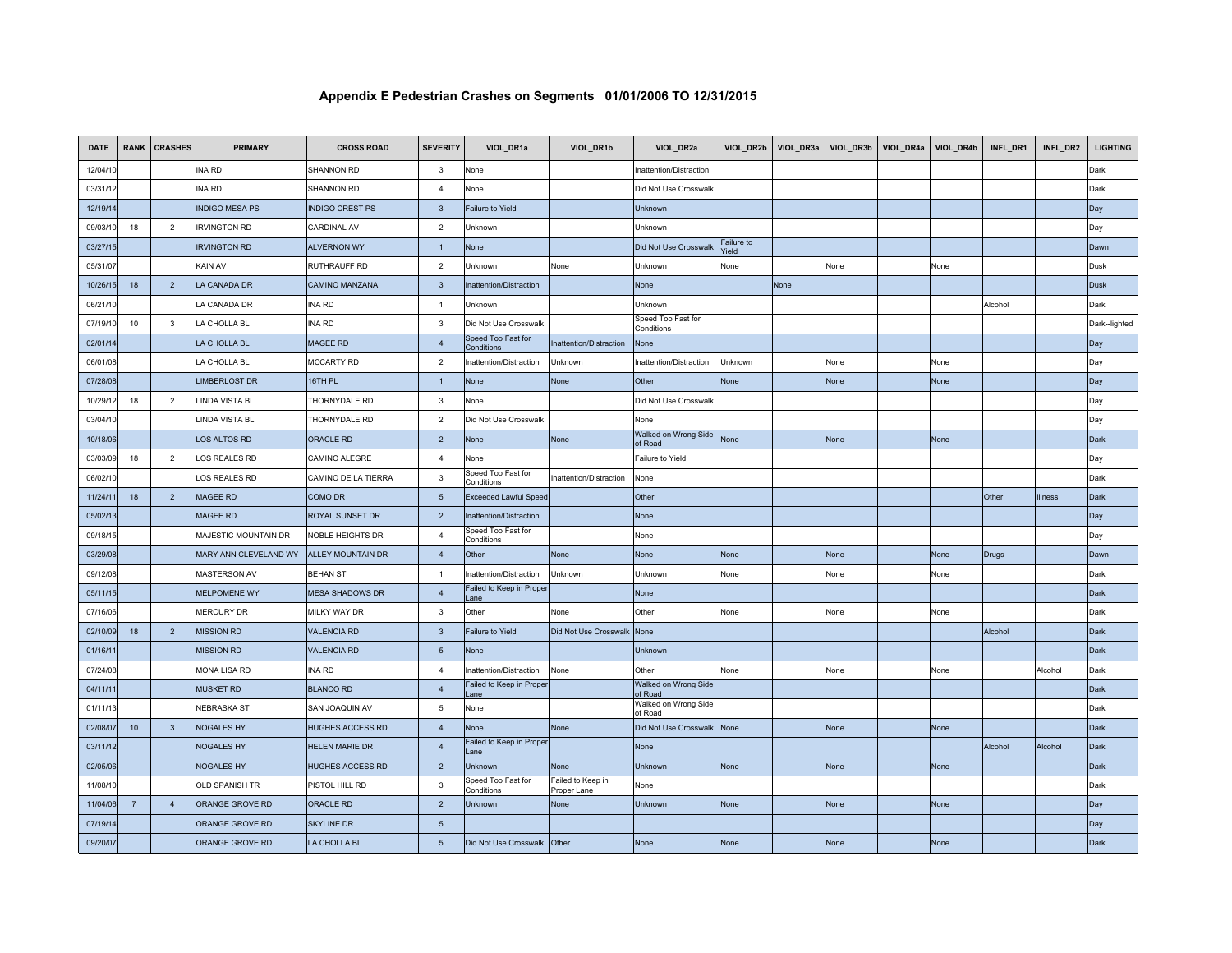| <b>DATE</b> | <b>RANK</b>    | <b>CRASHES</b> | <b>PRIMARY</b>        | <b>CROSS ROAD</b>      | <b>SEVERITY</b> | VIOL_DR1a                        | VIOL_DR1b                        | VIOL_DR2a                        | VIOL_DR2b           | VIOL_DR3a | VIOL_DR3b | VIOL_DR4a | VIOL_DR4b | INFL_DR1 | INFL_DR2 | <b>LIGHTING</b> |
|-------------|----------------|----------------|-----------------------|------------------------|-----------------|----------------------------------|----------------------------------|----------------------------------|---------------------|-----------|-----------|-----------|-----------|----------|----------|-----------------|
| 12/04/10    |                |                | INA RD                | SHANNON RD             | $\mathbf{3}$    | None                             |                                  | Inattention/Distraction          |                     |           |           |           |           |          |          | Dark            |
| 03/31/12    |                |                | INA RD                | SHANNON RD             | $\overline{4}$  | None                             |                                  | Did Not Use Crosswalk            |                     |           |           |           |           |          |          | Dark            |
| 12/19/14    |                |                | <b>INDIGO MESA PS</b> | <b>INDIGO CREST PS</b> | $\mathbf{3}$    | <b>Failure to Yield</b>          |                                  | Unknown                          |                     |           |           |           |           |          |          | Day             |
| 09/03/10    | 18             | $\overline{2}$ | <b>IRVINGTON RD</b>   | <b>CARDINAL AV</b>     | 2               | Unknown                          |                                  | Unknown                          |                     |           |           |           |           |          |          | Day             |
| 03/27/15    |                |                | <b>IRVINGTON RD</b>   | <b>ALVERNON WY</b>     | $\overline{1}$  | None                             |                                  | Did Not Use Crosswalk            | Failure to<br>rield |           |           |           |           |          |          | Dawn            |
| 05/31/07    |                |                | KAIN AV               | RUTHRAUFF RD           | 2               | Unknown                          | None                             | Unknown                          | None                |           | None      |           | None      |          |          | Dusk            |
| 10/26/15    | 18             | $\overline{2}$ | LA CANADA DR          | <b>CAMINO MANZANA</b>  | $\mathbf{3}$    | nattention/Distraction           |                                  | None                             |                     | None      |           |           |           |          |          | <b>Dusk</b>     |
| 06/21/10    |                |                | LA CANADA DR          | <b>INA RD</b>          | $\overline{1}$  | Unknown                          |                                  | Unknown                          |                     |           |           |           |           | Alcohol  |          | Dark            |
| 07/19/10    | 10             | $\mathbf{3}$   | LA CHOLLA BL          | <b>INA RD</b>          | $\mathbf{3}$    | Did Not Use Crosswalk            |                                  | Speed Too Fast for<br>Conditions |                     |           |           |           |           |          |          | Dark--lighted   |
| 02/01/14    |                |                | LA CHOLLA BL          | MAGEE RD               | $\overline{4}$  | Speed Too Fast for<br>Conditions | Inattention/Distraction          | None                             |                     |           |           |           |           |          |          | Day             |
| 06/01/08    |                |                | LA CHOLLA BL          | MCCARTY RD             | $\overline{2}$  | nattention/Distraction           | Unknown                          | Inattention/Distraction          | Unknown             |           | None      |           | None      |          |          | Day             |
| 07/28/08    |                |                | <b>LIMBERLOST DR</b>  | 16TH PL                | $\overline{1}$  | None                             | None                             | <b>Other</b>                     | None                |           | None      |           | None      |          |          | Day             |
| 10/29/12    | 18             | $\overline{2}$ | LINDA VISTA BL        | THORNYDALE RD          | $\mathbf{3}$    | None                             |                                  | Did Not Use Crosswalk            |                     |           |           |           |           |          |          | Day             |
| 03/04/10    |                |                | LINDA VISTA BL        | THORNYDALE RD          | $\overline{2}$  | Did Not Use Crosswalk            |                                  | None                             |                     |           |           |           |           |          |          | Day             |
| 10/18/06    |                |                | LOS ALTOS RD          | ORACLE RD              | $\overline{2}$  | None                             | None                             | Walked on Wrong Side<br>of Road  | None                |           | None      |           | None      |          |          | Dark            |
| 03/03/09    | 18             | $\overline{2}$ | LOS REALES RD         | CAMINO ALEGRE          | $\overline{4}$  | None                             |                                  | Failure to Yield                 |                     |           |           |           |           |          |          | Day             |
| 06/02/10    |                |                | LOS REALES RD         | CAMINO DE LA TIERRA    | 3               | Speed Too Fast for<br>Conditions | Inattention/Distraction          | None                             |                     |           |           |           |           |          |          | Dark            |
| 11/24/11    | 18             | $\overline{2}$ | MAGEE RD              | COMO DR                | $5\phantom{.0}$ | <b>Exceeded Lawful Speed</b>     |                                  | Other                            |                     |           |           |           |           | Other    | Illness  | Dark            |
| 05/02/13    |                |                | MAGEE RD              | ROYAL SUNSET DR        | $\overline{2}$  | Inattention/Distraction          |                                  | None                             |                     |           |           |           |           |          |          | Day             |
| 09/18/15    |                |                | MAJESTIC MOUNTAIN DR  | NOBLE HEIGHTS DR       | $\overline{4}$  | Speed Too Fast for<br>Conditions |                                  | None                             |                     |           |           |           |           |          |          | Day             |
| 03/29/08    |                |                | MARY ANN CLEVELAND WY | ALLEY MOUNTAIN DR      | $\overline{4}$  | Other                            | None                             | None                             | None                |           | None      |           | None      | Drugs    |          | Dawn            |
| 09/12/08    |                |                | MASTERSON AV          | <b>BEHAN ST</b>        | $\overline{1}$  | nattention/Distraction           | Unknown                          | Unknown                          | None                |           | None      |           | None      |          |          | Dark            |
| 05/11/15    |                |                | <b>MELPOMENE WY</b>   | <b>MESA SHADOWS DR</b> | $\overline{4}$  | Failed to Keep in Proper<br>ane  |                                  | None                             |                     |           |           |           |           |          |          | Dark            |
| 07/16/06    |                |                | <b>MERCURY DR</b>     | MILKY WAY DR           | $\mathbf{3}$    | Other                            | None                             | Other                            | None                |           | None      |           | None      |          |          | Dark            |
| 02/10/09    | 18             | $\overline{2}$ | <b>MISSION RD</b>     | <b>VALENCIA RD</b>     | $\mathbf{3}$    | <b>Failure to Yield</b>          | Did Not Use Crosswalk            | <b>None</b>                      |                     |           |           |           |           | Alcohol  |          | Dark            |
| 01/16/11    |                |                | <b>MISSION RD</b>     | <b>VALENCIA RD</b>     | $5\phantom{.0}$ | None                             |                                  | Unknown                          |                     |           |           |           |           |          |          | Dark            |
| 07/24/08    |                |                | MONA LISA RD          | <b>INA RD</b>          | $\overline{4}$  | nattention/Distraction           | None                             | Other                            | None                |           | None      |           | None      |          | Alcohol  | Dark            |
| 04/11/11    |                |                | <b>MUSKET RD</b>      | <b>BLANCO RD</b>       | $\overline{4}$  | Failed to Keep in Proper<br>ane  |                                  | Walked on Wrong Side<br>of Road  |                     |           |           |           |           |          |          | Dark            |
| 01/11/13    |                |                | <b>NEBRASKA ST</b>    | SAN JOAQUIN AV         | $\overline{5}$  | None                             |                                  | Walked on Wrong Side<br>of Road  |                     |           |           |           |           |          |          | Dark            |
| 02/08/07    | 10             | $\mathbf{3}$   | NOGALES HY            | HUGHES ACCESS RD       | $\overline{4}$  | None                             | None                             | Did Not Use Crosswalk            | None                |           | None      |           | None      |          |          | Dark            |
| 03/11/12    |                |                | <b>NOGALES HY</b>     | HELEN MARIE DR         | $\overline{4}$  | Failed to Keep in Proper<br>ane  |                                  | None                             |                     |           |           |           |           | Alcohol  | Alcohol  | Dark            |
| 02/05/06    |                |                | <b>NOGALES HY</b>     | HUGHES ACCESS RD       | $\overline{2}$  | Unknown                          | None                             | Unknown                          | None                |           | None      |           | None      |          |          | Dark            |
| 11/08/10    |                |                | OLD SPANISH TR        | PISTOL HILL RD         | $\mathbf{3}$    | Speed Too Fast for<br>Conditions | Failed to Keep in<br>Proper Lane | None                             |                     |           |           |           |           |          |          | Dark            |
| 11/04/06    | $\overline{7}$ | $\overline{4}$ | ORANGE GROVE RD       | <b>ORACLE RD</b>       | $\overline{2}$  | Unknown                          | None                             | Unknown                          | None                |           | None      |           | None      |          |          | Day             |
| 07/19/14    |                |                | ORANGE GROVE RD       | <b>SKYLINE DR</b>      | 5               |                                  |                                  |                                  |                     |           |           |           |           |          |          | Day             |
| 09/20/07    |                |                | ORANGE GROVE RD       | LA CHOLLA BL           | $5\phantom{.0}$ | Did Not Use Crosswalk            | Other                            | None                             | None                |           | None      |           | None      |          |          | Dark            |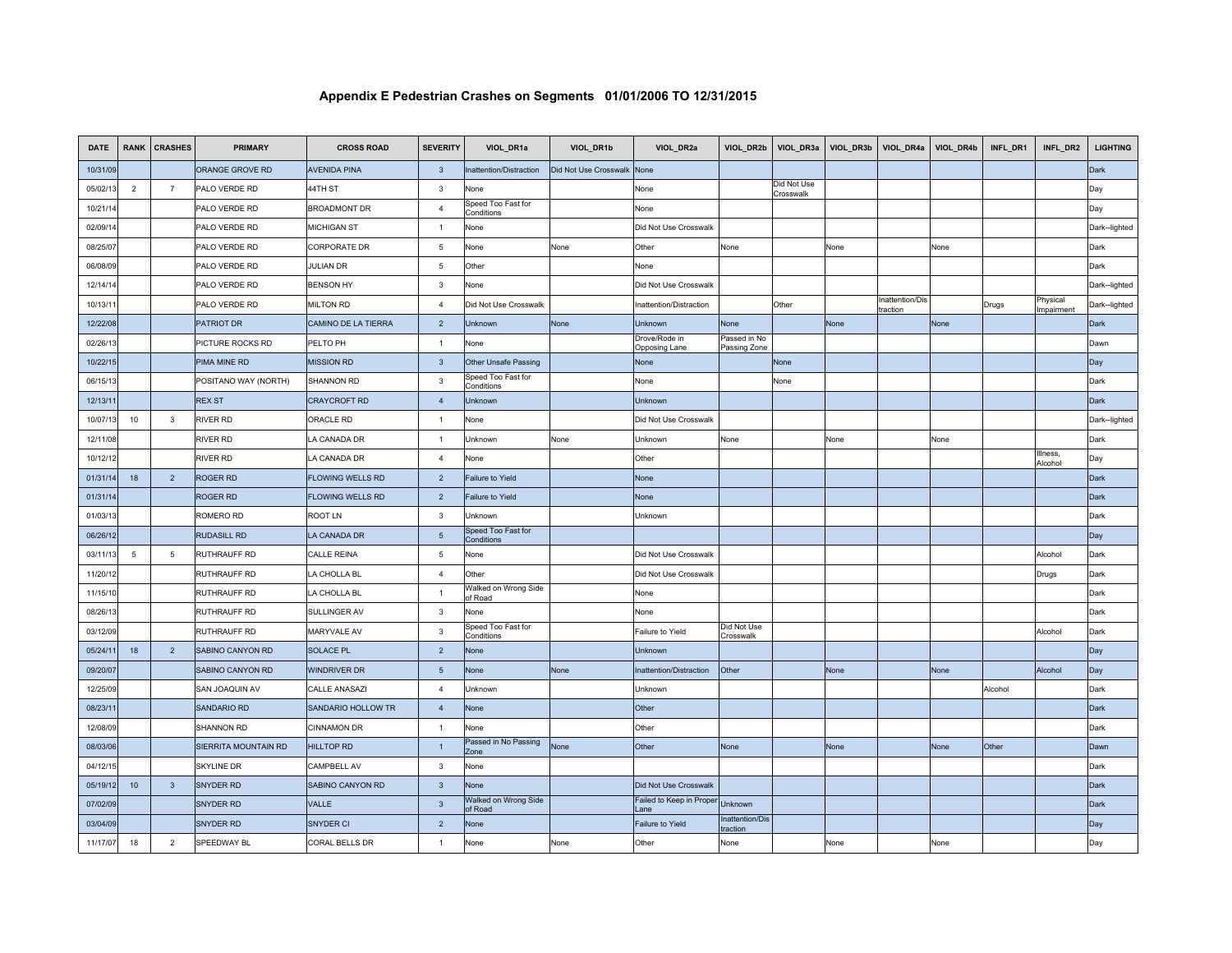| <b>DATE</b> | <b>RANK</b>    | <b>CRASHES</b> | <b>PRIMARY</b>       | <b>CROSS ROAD</b>       | <b>SEVERITY</b> | VIOL_DR1a                        | VIOL_DR1b             | VIOL_DR2a                        | VIOL_DR2b                    | VIOL_DR3a                | VIOL_DR3b | VIOL_DR4a                   | VIOL_DR4b | INFL_DR1 | INFL_DR2               | <b>LIGHTING</b> |
|-------------|----------------|----------------|----------------------|-------------------------|-----------------|----------------------------------|-----------------------|----------------------------------|------------------------------|--------------------------|-----------|-----------------------------|-----------|----------|------------------------|-----------------|
| 10/31/09    |                |                | ORANGE GROVE RD      | <b>AVENIDA PINA</b>     | $\mathbf{3}$    | nattention/Distraction           | Did Not Use Crosswalk | None                             |                              |                          |           |                             |           |          |                        | Dark            |
| 05/02/13    | $\overline{2}$ | $\overline{7}$ | PALO VERDE RD        | 44TH ST                 | $\mathbf{3}$    | None                             |                       | None                             |                              | Did Not Use<br>Crosswalk |           |                             |           |          |                        | Day             |
| 10/21/14    |                |                | PALO VERDE RD        | <b>BROADMONT DR</b>     | $\overline{4}$  | Speed Too Fast for<br>Conditions |                       | None                             |                              |                          |           |                             |           |          |                        | Day             |
| 02/09/14    |                |                | PALO VERDE RD        | <b>MICHIGAN ST</b>      | $\overline{1}$  | None                             |                       | Did Not Use Crosswalk            |                              |                          |           |                             |           |          |                        | Dark--lighted   |
| 08/25/07    |                |                | PALO VERDE RD        | CORPORATE DR            | 5               | None                             | None                  | Other                            | None                         |                          | None      |                             | None      |          |                        | Dark            |
| 06/08/09    |                |                | PALO VERDE RD        | <b>JULIAN DR</b>        | 5               | Other                            |                       | None                             |                              |                          |           |                             |           |          |                        | Dark            |
| 12/14/14    |                |                | PALO VERDE RD        | <b>BENSON HY</b>        | $\mathbf{3}$    | None                             |                       | Did Not Use Crosswalk            |                              |                          |           |                             |           |          |                        | Dark-lighted    |
| 10/13/11    |                |                | PALO VERDE RD        | <b>MILTON RD</b>        | $\overline{4}$  | Did Not Use Crosswalk            |                       | Inattention/Distraction          |                              | Other                    |           | Inattention/Dis<br>traction |           | Drugs    | Physical<br>Impairment | Dark-lighted    |
| 12/22/08    |                |                | <b>PATRIOT DR</b>    | CAMINO DE LA TIERRA     | $\overline{2}$  | Unknown                          | None                  | <b>Unknown</b>                   | None                         |                          | None      |                             | None      |          |                        | Dark            |
| 02/26/13    |                |                | PICTURE ROCKS RD     | PELTO PH                | $\overline{1}$  | None                             |                       | Drove/Rode in<br>Opposing Lane   | Passed in No<br>Passing Zone |                          |           |                             |           |          |                        | Dawn            |
| 10/22/15    |                |                | PIMA MINE RD         | <b>MISSION RD</b>       | $\mathbf{3}$    | Other Unsafe Passing             |                       | None                             |                              | None                     |           |                             |           |          |                        | Day             |
| 06/15/13    |                |                | POSITANO WAY (NORTH) | SHANNON RD              | $\mathbf{3}$    | Speed Too Fast for<br>Conditions |                       | None                             |                              | None                     |           |                             |           |          |                        | Dark            |
| 12/13/11    |                |                | <b>REX ST</b>        | <b>CRAYCROFT RD</b>     | $\overline{4}$  | Unknown                          |                       | <b>Unknown</b>                   |                              |                          |           |                             |           |          |                        | Dark            |
| 10/07/13    | 10             | $\mathbf{3}$   | <b>RIVER RD</b>      | ORACLE RD               | $\overline{1}$  | None                             |                       | Did Not Use Crosswalk            |                              |                          |           |                             |           |          |                        | Dark--lighted   |
| 12/11/08    |                |                | <b>RIVER RD</b>      | LA CANADA DR            | $\overline{1}$  | Unknown                          | None                  | Unknown                          | None                         |                          | None      |                             | None      |          |                        | Dark            |
| 10/12/12    |                |                | <b>RIVER RD</b>      | LA CANADA DR            | $\overline{4}$  | None                             |                       | Other                            |                              |                          |           |                             |           |          | Illness<br>Alcohol     | Day             |
| 01/31/14    | 18             | $\overline{2}$ | ROGER RD             | FLOWING WELLS RD        | $\sqrt{2}$      | Failure to Yield                 |                       | None                             |                              |                          |           |                             |           |          |                        | Dark            |
| 01/31/14    |                |                | <b>ROGER RD</b>      | <b>FLOWING WELLS RD</b> | $\overline{2}$  | Failure to Yield                 |                       | None                             |                              |                          |           |                             |           |          |                        | Dark            |
| 01/03/13    |                |                | <b>ROMERO RD</b>     | <b>ROOT LN</b>          | 3               | Unknown                          |                       | Unknown                          |                              |                          |           |                             |           |          |                        | Dark            |
| 06/26/12    |                |                | <b>RUDASILL RD</b>   | <b>LA CANADA DR</b>     | $\sqrt{5}$      | Speed Too Fast for<br>Conditions |                       |                                  |                              |                          |           |                             |           |          |                        | Day             |
| 03/11/13    | 5              | 5              | RUTHRAUFF RD         | <b>CALLE REINA</b>      | $\overline{5}$  | None                             |                       | Did Not Use Crosswalk            |                              |                          |           |                             |           |          | Alcohol                | Dark            |
| 11/20/12    |                |                | RUTHRAUFF RD         | LA CHOLLA BL            | $\overline{4}$  | Other                            |                       | Did Not Use Crosswalk            |                              |                          |           |                             |           |          | Drugs                  | Dark            |
| 11/15/10    |                |                | <b>RUTHRAUFF RD</b>  | LA CHOLLA BL            | $\overline{1}$  | Walked on Wrong Side<br>of Road  |                       | None                             |                              |                          |           |                             |           |          |                        | Dark            |
| 08/26/13    |                |                | <b>RUTHRAUFF RD</b>  | SULLINGER AV            | 3               | None                             |                       | None                             |                              |                          |           |                             |           |          |                        | Dark            |
| 03/12/09    |                |                | <b>RUTHRAUFF RD</b>  | MARYVALE AV             | $\mathbf{3}$    | Speed Too Fast for<br>Conditions |                       | Failure to Yield                 | Did Not Use<br>Crosswalk     |                          |           |                             |           |          | Alcohol                | Dark            |
| 05/24/11    | 18             | $\overline{2}$ | SABINO CANYON RD     | <b>SOLACE PL</b>        | $\overline{2}$  | None                             |                       | Unknown                          |                              |                          |           |                             |           |          |                        | Day             |
| 09/20/07    |                |                | SABINO CANYON RD     | WINDRIVER DR            | 5               | None                             | None                  | Inattention/Distraction          | Other                        |                          | None      |                             | None      |          | Alcohol                | Day             |
| 12/25/09    |                |                | SAN JOAQUIN AV       | <b>CALLE ANASAZI</b>    | $\overline{4}$  | Unknown                          |                       | Unknown                          |                              |                          |           |                             |           | Alcohol  |                        | Dark            |
| 08/23/11    |                |                | <b>SANDARIO RD</b>   | SANDARIO HOLLOW TR      | $\overline{4}$  | None                             |                       | Other                            |                              |                          |           |                             |           |          |                        | Dark            |
| 12/08/09    |                |                | SHANNON RD           | <b>CINNAMON DR</b>      | $\overline{1}$  | None                             |                       | Other                            |                              |                          |           |                             |           |          |                        | Dark            |
| 08/03/06    |                |                | SIERRITA MOUNTAIN RD | <b>HILLTOP RD</b>       | $\overline{1}$  | Passed in No Passing<br>Zone     | None                  | Other                            | None                         |                          | None      |                             | None      | Other    |                        | Dawn            |
| 04/12/15    |                |                | <b>SKYLINE DR</b>    | CAMPBELL AV             | 3               | None                             |                       |                                  |                              |                          |           |                             |           |          |                        | Dark            |
| 05/19/12    | 10             | $\mathbf{3}$   | <b>SNYDER RD</b>     | SABINO CANYON RD        | $\mathbf{3}$    | None                             |                       | Did Not Use Crosswalk            |                              |                          |           |                             |           |          |                        | Dark            |
| 07/02/09    |                |                | SNYDER RD            | VALLE                   | $\mathbf{3}$    | Walked on Wrong Side<br>of Road  |                       | Failed to Keep in Proper<br>Lane | Unknown                      |                          |           |                             |           |          |                        | Dark            |
| 03/04/09    |                |                | <b>SNYDER RD</b>     | <b>SNYDER CI</b>        | 2               | None                             |                       | <b>Failure to Yield</b>          | Inattention/Dis<br>raction   |                          |           |                             |           |          |                        | Day             |
| 11/17/07    | 18             | $\overline{2}$ | SPEEDWAY BL          | CORAL BELLS DR          | $\overline{1}$  | None                             | None                  | Other                            | None                         |                          | None      |                             | None      |          |                        | Day             |